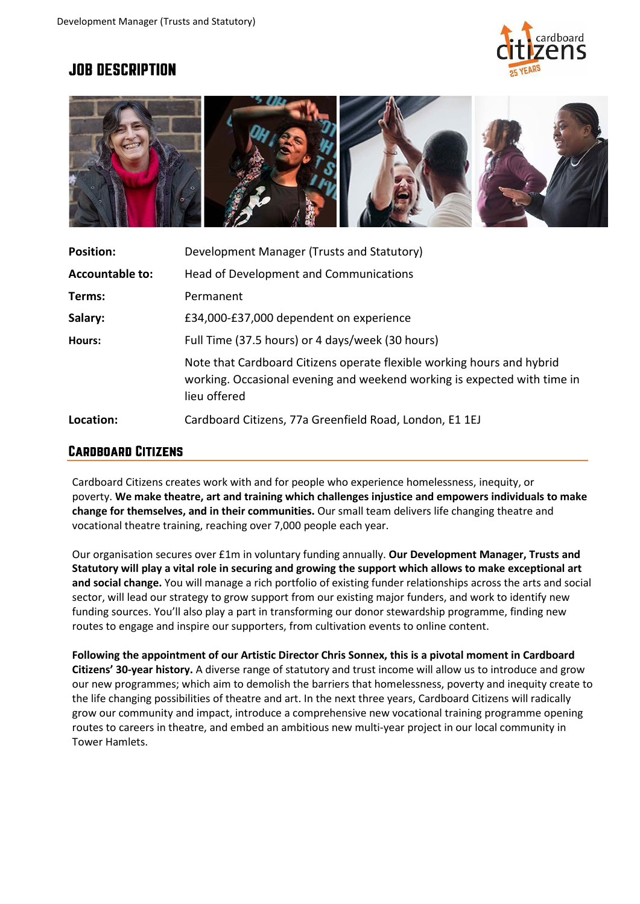

# **JOB DESCRIPTION**



| <b>Position:</b>       | Development Manager (Trusts and Statutory)                                                                                                                         |
|------------------------|--------------------------------------------------------------------------------------------------------------------------------------------------------------------|
| <b>Accountable to:</b> | Head of Development and Communications                                                                                                                             |
| Terms:                 | Permanent                                                                                                                                                          |
| Salary:                | £34,000-£37,000 dependent on experience                                                                                                                            |
| Hours:                 | Full Time (37.5 hours) or 4 days/week (30 hours)                                                                                                                   |
|                        | Note that Cardboard Citizens operate flexible working hours and hybrid<br>working. Occasional evening and weekend working is expected with time in<br>lieu offered |
| Location:              | Cardboard Citizens, 77a Greenfield Road, London, E1 1EJ                                                                                                            |

## **CARDBOARD CITIZENS**

Cardboard Citizens creates work with and for people who experience homelessness, inequity, or poverty. **We make theatre, art and training which challenges injustice and empowers individuals to make change for themselves, and in their communities.** Our small team delivers life changing theatre and vocational theatre training, reaching over 7,000 people each year.

Our organisation secures over £1m in voluntary funding annually. **Our Development Manager, Trusts and Statutory will play a vital role in securing and growing the support which allows to make exceptional art and social change.** You will manage a rich portfolio of existing funder relationships across the arts and social sector, will lead our strategy to grow support from our existing major funders, and work to identify new funding sources. You'll also play a part in transforming our donor stewardship programme, finding new routes to engage and inspire our supporters, from cultivation events to online content.

**Following the appointment of our Artistic Director Chris Sonnex, this is a pivotal moment in Cardboard Citizens' 30-year history.** A diverse range of statutory and trust income will allow us to introduce and grow our new programmes; which aim to demolish the barriers that homelessness, poverty and inequity create to the life changing possibilities of theatre and art. In the next three years, Cardboard Citizens will radically grow our community and impact, introduce a comprehensive new vocational training programme opening routes to careers in theatre, and embed an ambitious new multi-year project in our local community in Tower Hamlets.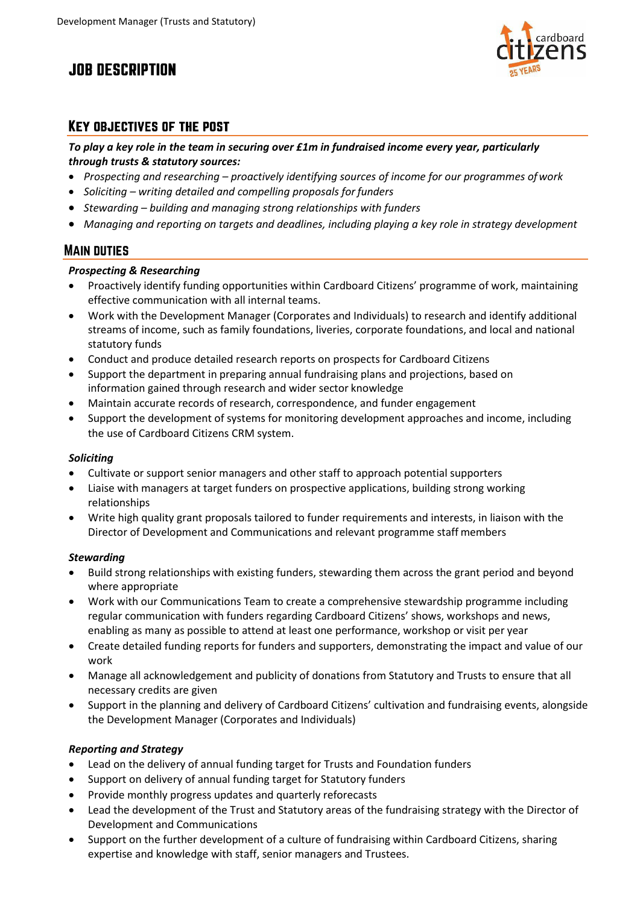# **JOB DESCRIPTION**



# **KEY OBJECTIVES OF THE POST**

*To play a key role in the team in securing over £1m in fundraised income every year, particularly through trusts & statutory sources:*

- *Prospecting and researching – proactively identifying sources of income for our programmes ofwork*
- *Soliciting – writing detailed and compelling proposals for funders*
- *Stewarding – building and managing strong relationships with funders*
- *Managing and reporting on targets and deadlines, including playing a key role in strategy development*

# **MAIN DUTIES**

## *Prospecting & Researching*

- Proactively identify funding opportunities within Cardboard Citizens' programme of work, maintaining effective communication with all internal teams.
- Work with the Development Manager (Corporates and Individuals) to research and identify additional streams of income, such as family foundations, liveries, corporate foundations, and local and national statutory funds
- Conduct and produce detailed research reports on prospects for Cardboard Citizens
- Support the department in preparing annual fundraising plans and projections, based on information gained through research and wider sector knowledge
- Maintain accurate records of research, correspondence, and funder engagement
- Support the development of systems for monitoring development approaches and income, including the use of Cardboard Citizens CRM system.

## *Soliciting*

- Cultivate or support senior managers and other staff to approach potential supporters
- Liaise with managers at target funders on prospective applications, building strong working relationships
- Write high quality grant proposals tailored to funder requirements and interests, in liaison with the Director of Development and Communications and relevant programme staff members

## *Stewarding*

- Build strong relationships with existing funders, stewarding them across the grant period and beyond where appropriate
- Work with our Communications Team to create a comprehensive stewardship programme including regular communication with funders regarding Cardboard Citizens' shows, workshops and news, enabling as many as possible to attend at least one performance, workshop or visit per year
- Create detailed funding reports for funders and supporters, demonstrating the impact and value of our work
- Manage all acknowledgement and publicity of donations from Statutory and Trusts to ensure that all necessary credits are given
- Support in the planning and delivery of Cardboard Citizens' cultivation and fundraising events, alongside the Development Manager (Corporates and Individuals)

## *Reporting and Strategy*

- Lead on the delivery of annual funding target for Trusts and Foundation funders
- Support on delivery of annual funding target for Statutory funders
- Provide monthly progress updates and quarterly reforecasts
- Lead the development of the Trust and Statutory areas of the fundraising strategy with the Director of Development and Communications
- Support on the further development of a culture of fundraising within Cardboard Citizens, sharing expertise and knowledge with staff, senior managers and Trustees.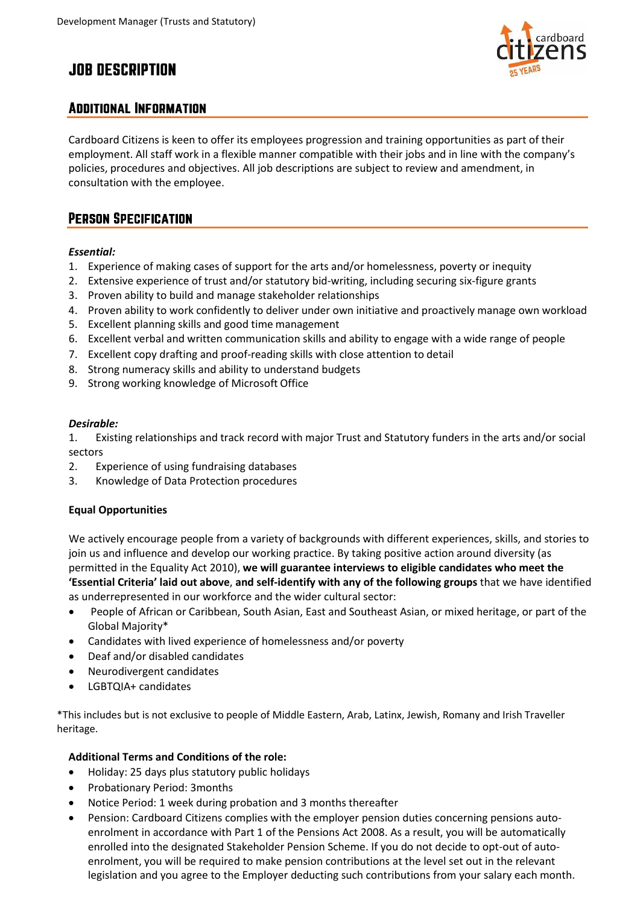# **JOB DESCRIPTION**



# **ADDITIONAL INFORMATION**

Cardboard Citizens is keen to offer its employees progression and training opportunities as part of their employment. All staff work in a flexible manner compatible with their jobs and in line with the company's policies, procedures and objectives. All job descriptions are subject to review and amendment, in consultation with the employee.

# **PERSON SPECIFICATION**

#### *Essential:*

- 1. Experience of making cases of support for the arts and/or homelessness, poverty or inequity
- 2. Extensive experience of trust and/or statutory bid-writing, including securing six-figure grants
- 3. Proven ability to build and manage stakeholder relationships
- 4. Proven ability to work confidently to deliver under own initiative and proactively manage own workload
- 5. Excellent planning skills and good time management
- 6. Excellent verbal and written communication skills and ability to engage with a wide range of people
- 7. Excellent copy drafting and proof-reading skills with close attention to detail
- 8. Strong numeracy skills and ability to understand budgets
- 9. Strong working knowledge of Microsoft Office

#### *Desirable:*

1. Existing relationships and track record with major Trust and Statutory funders in the arts and/or social sectors

- 2. Experience of using fundraising databases
- 3. Knowledge of Data Protection procedures

## **Equal Opportunities**

We actively encourage people from a variety of backgrounds with different experiences, skills, and stories to join us and influence and develop our working practice. By taking positive action around diversity (as permitted in the Equality Act 2010), **we will guarantee interviews to eligible candidates who meet the 'Essential Criteria' laid out above**, **and self-identify with any of the following groups** that we have identified as underrepresented in our workforce and the wider cultural sector:

- People of African or Caribbean, South Asian, East and Southeast Asian, or mixed heritage, or part of the Global Majority\*
- Candidates with lived experience of homelessness and/or poverty
- Deaf and/or disabled candidates
- Neurodivergent candidates
- LGBTQIA+ candidates

\*This includes but is not exclusive to people of Middle Eastern, Arab, Latinx, Jewish, Romany and Irish Traveller heritage.

### **Additional Terms and Conditions of the role:**

- Holiday: 25 days plus statutory public holidays
- Probationary Period: 3months
- Notice Period: 1 week during probation and 3 months thereafter
- Pension: Cardboard Citizens complies with the employer pension duties concerning pensions autoenrolment in accordance with Part 1 of the Pensions Act 2008. As a result, you will be automatically enrolled into the designated Stakeholder Pension Scheme. If you do not decide to opt-out of autoenrolment, you will be required to make pension contributions at the level set out in the relevant legislation and you agree to the Employer deducting such contributions from your salary each month.